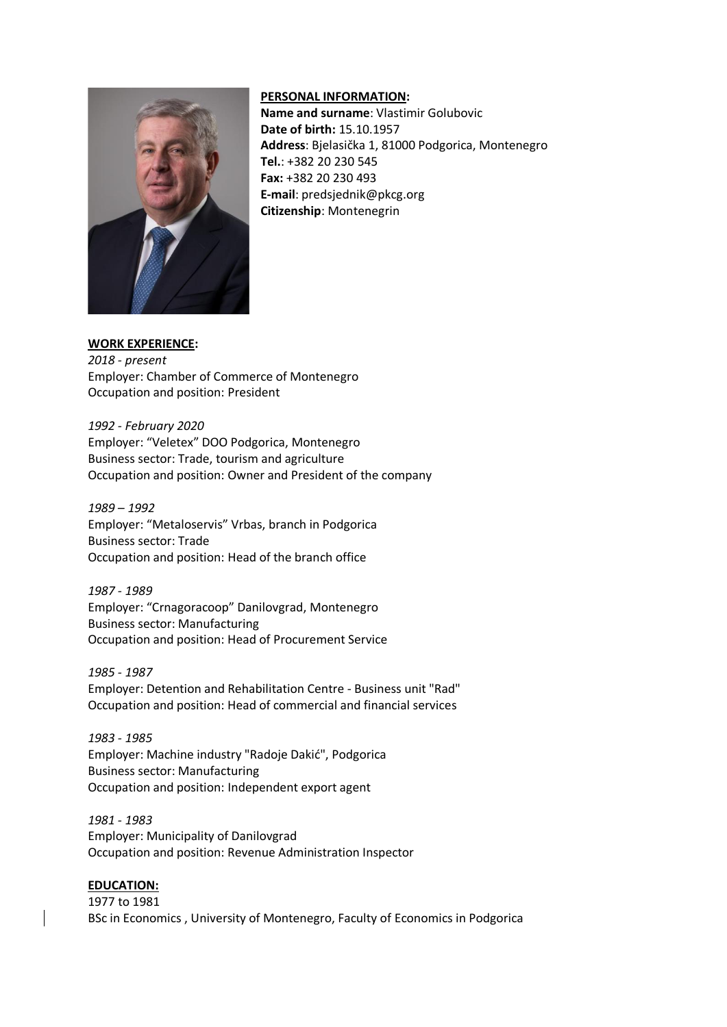

## **PERSONAL INFORMATION:**

**Name and surname**: Vlastimir Golubovic **Date of birth:** 15.10.1957 **Address**: Bjelasička 1, 81000 Podgorica, Montenegro **Tel.**: +382 20 230 545 **Fax:** +382 20 230 493 **E-mail**: predsjednik@pkcg.org **Citizenship**: Montenegrin

## **WORK EXPERIENCE:**

*2018 - present* Employer: Chamber of Commerce of Montenegro Occupation and position: President

*1992 - February 2020* Employer: "Veletex" DOO Podgorica, Montenegro Business sector: Trade, tourism and agriculture Occupation and position: Owner and President of the company

*1989 – 1992* Employer: "Metaloservis" Vrbas, branch in Podgorica Business sector: Trade Occupation and position: Head of the branch office

*1987 - 1989* Employer: "Crnagoracoop" Danilovgrad, Montenegro Business sector: Manufacturing Occupation and position: Head of Procurement Service

*1985 - 1987* Employer: Detention and Rehabilitation Centre - Business unit "Rad" Occupation and position: Head of commercial and financial services

*1983 - 1985* Employer: Machine industry "Radoje Dakić", Podgorica Business sector: Manufacturing Occupation and position: Independent export agent

*1981 - 1983* Employer: Municipality of Danilovgrad Occupation and position: Revenue Administration Inspector

## **EDUCATION:**

1977 to 1981 BSc in Economics , University of Montenegro, Faculty of Economics in Podgorica